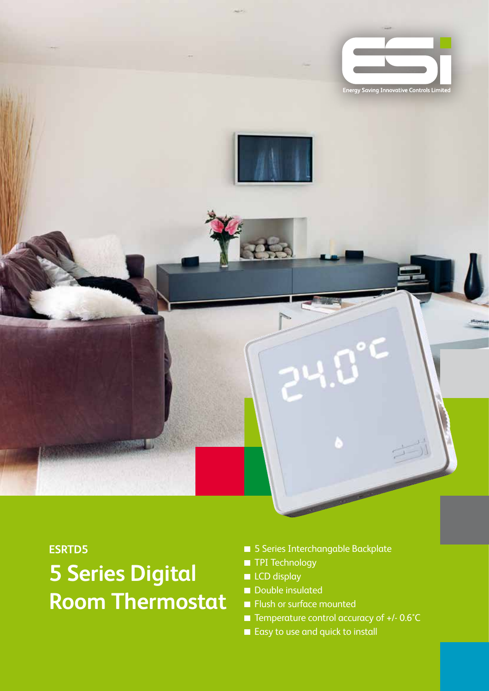

#### **ESRTD5**

# **5 Series Digital Room Thermostat**

- 5 Series Interchangable Backplate
- **TPI Technology**
- **LCD** display
- Double insulated
- **Flush or surface mounted**
- Temperature control accuracy of +/-0.6°C
- Easy to use and quick to install